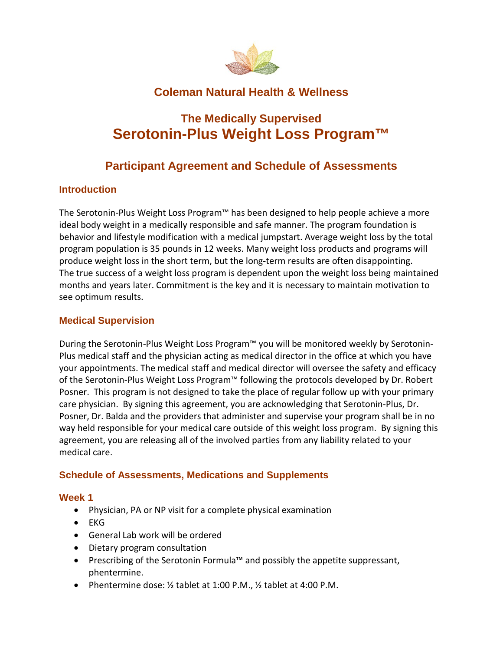

## **Coleman Natural Health & Wellness**

# **The Medically Supervised Serotonin-Plus Weight Loss Program™**

## **Participant Agreement and Schedule of Assessments**

## **Introduction**

The Serotonin-Plus Weight Loss Program™ has been designed to help people achieve a more ideal body weight in a medically responsible and safe manner. The program foundation is behavior and lifestyle modification with a medical jumpstart. Average weight loss by the total program population is 35 pounds in 12 weeks. Many weight loss products and programs will produce weight loss in the short term, but the long-term results are often disappointing. The true success of a weight loss program is dependent upon the weight loss being maintained months and years later. Commitment is the key and it is necessary to maintain motivation to see optimum results.

## **Medical Supervision**

During the Serotonin-Plus Weight Loss Program™ you will be monitored weekly by Serotonin-Plus medical staff and the physician acting as medical director in the office at which you have your appointments. The medical staff and medical director will oversee the safety and efficacy of the Serotonin-Plus Weight Loss Program™ following the protocols developed by Dr. Robert Posner. This program is not designed to take the place of regular follow up with your primary care physician. By signing this agreement, you are acknowledging that Serotonin-Plus, Dr. Posner, Dr. Balda and the providers that administer and supervise your program shall be in no way held responsible for your medical care outside of this weight loss program. By signing this agreement, you are releasing all of the involved parties from any liability related to your medical care.

### **Schedule of Assessments, Medications and Supplements**

### **Week 1**

- Physician, PA or NP visit for a complete physical examination
- EKG
- General Lab work will be ordered
- Dietary program consultation
- Prescribing of the Serotonin Formula™ and possibly the appetite suppressant, phentermine.
- Phentermine dose: ½ tablet at 1:00 P.M., ½ tablet at 4:00 P.M.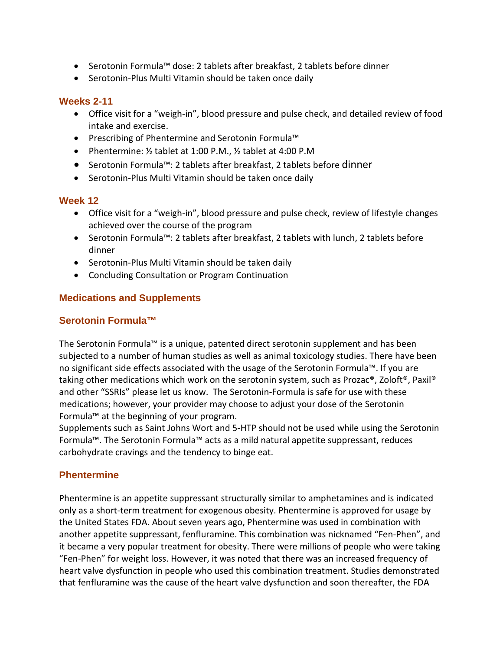- Serotonin Formula™ dose: 2 tablets after breakfast, 2 tablets before dinner
- Serotonin-Plus Multi Vitamin should be taken once daily

#### **Weeks 2-11**

- Office visit for a "weigh-in", blood pressure and pulse check, and detailed review of food intake and exercise.
- Prescribing of Phentermine and Serotonin Formula™
- Phentermine: ½ tablet at 1:00 P.M., ½ tablet at 4:00 P.M
- Serotonin Formula™: 2 tablets after breakfast, 2 tablets before dinner
- Serotonin-Plus Multi Vitamin should be taken once daily

#### **Week 12**

- Office visit for a "weigh-in", blood pressure and pulse check, review of lifestyle changes achieved over the course of the program
- Serotonin Formula™: 2 tablets after breakfast, 2 tablets with lunch, 2 tablets before dinner
- Serotonin-Plus Multi Vitamin should be taken daily
- Concluding Consultation or Program Continuation

### **Medications and Supplements**

### **Serotonin Formula™**

The Serotonin Formula™ is a unique, patented direct serotonin supplement and has been subjected to a number of human studies as well as animal toxicology studies. There have been no significant side effects associated with the usage of the Serotonin Formula™. If you are taking other medications which work on the serotonin system, such as Prozac®, Zoloft®, Paxil® and other "SSRIs" please let us know. The Serotonin-Formula is safe for use with these medications; however, your provider may choose to adjust your dose of the Serotonin Formula™ at the beginning of your program.

Supplements such as Saint Johns Wort and 5-HTP should not be used while using the Serotonin Formula™. The Serotonin Formula™ acts as a mild natural appetite suppressant, reduces carbohydrate cravings and the tendency to binge eat.

### **Phentermine**

Phentermine is an appetite suppressant structurally similar to amphetamines and is indicated only as a short-term treatment for exogenous obesity. Phentermine is approved for usage by the United States FDA. About seven years ago, Phentermine was used in combination with another appetite suppressant, fenfluramine. This combination was nicknamed "Fen-Phen", and it became a very popular treatment for obesity. There were millions of people who were taking "Fen-Phen" for weight loss. However, it was noted that there was an increased frequency of heart valve dysfunction in people who used this combination treatment. Studies demonstrated that fenfluramine was the cause of the heart valve dysfunction and soon thereafter, the FDA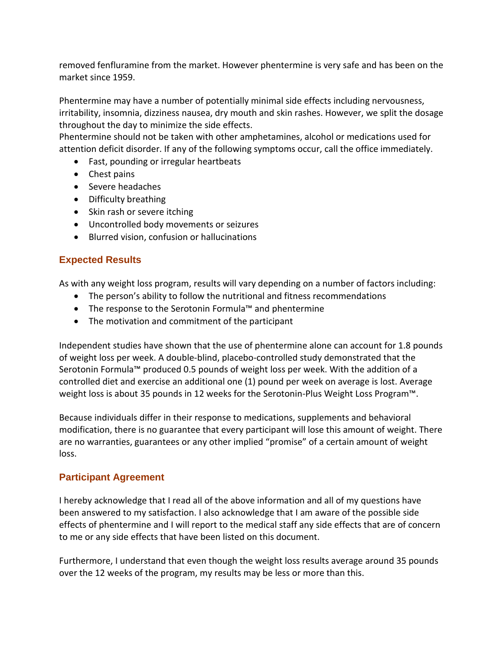removed fenfluramine from the market. However phentermine is very safe and has been on the market since 1959.

Phentermine may have a number of potentially minimal side effects including nervousness, irritability, insomnia, dizziness nausea, dry mouth and skin rashes. However, we split the dosage throughout the day to minimize the side effects.

Phentermine should not be taken with other amphetamines, alcohol or medications used for attention deficit disorder. If any of the following symptoms occur, call the office immediately.

- Fast, pounding or irregular heartbeats
- Chest pains
- Severe headaches
- Difficulty breathing
- Skin rash or severe itching
- Uncontrolled body movements or seizures
- Blurred vision, confusion or hallucinations

### **Expected Results**

As with any weight loss program, results will vary depending on a number of factors including:

- The person's ability to follow the nutritional and fitness recommendations
- The response to the Serotonin Formula™ and phentermine
- The motivation and commitment of the participant

Independent studies have shown that the use of phentermine alone can account for 1.8 pounds of weight loss per week. A double-blind, placebo-controlled study demonstrated that the Serotonin Formula™ produced 0.5 pounds of weight loss per week. With the addition of a controlled diet and exercise an additional one (1) pound per week on average is lost. Average weight loss is about 35 pounds in 12 weeks for the Serotonin-Plus Weight Loss Program™.

Because individuals differ in their response to medications, supplements and behavioral modification, there is no guarantee that every participant will lose this amount of weight. There are no warranties, guarantees or any other implied "promise" of a certain amount of weight loss.

### **Participant Agreement**

I hereby acknowledge that I read all of the above information and all of my questions have been answered to my satisfaction. I also acknowledge that I am aware of the possible side effects of phentermine and I will report to the medical staff any side effects that are of concern to me or any side effects that have been listed on this document.

Furthermore, I understand that even though the weight loss results average around 35 pounds over the 12 weeks of the program, my results may be less or more than this.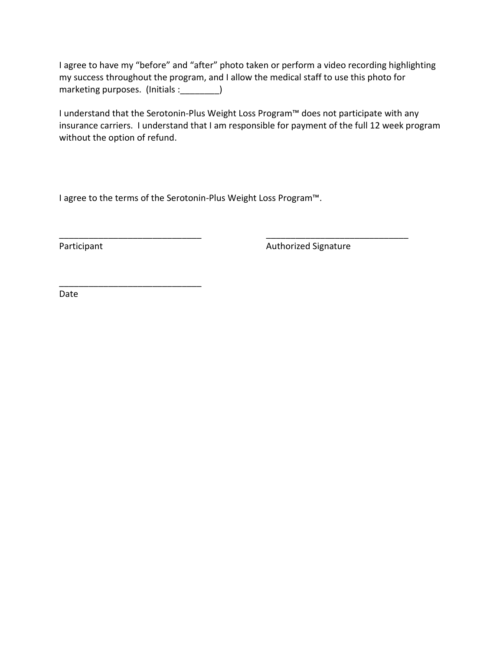I agree to have my "before" and "after" photo taken or perform a video recording highlighting my success throughout the program, and I allow the medical staff to use this photo for marketing purposes. (Initials : \_\_\_\_\_\_\_\_)

I understand that the Serotonin-Plus Weight Loss Program™ does not participate with any insurance carriers. I understand that I am responsible for payment of the full 12 week program without the option of refund.

\_\_\_\_\_\_\_\_\_\_\_\_\_\_\_\_\_\_\_\_\_\_\_\_\_\_\_\_\_ \_\_\_\_\_\_\_\_\_\_\_\_\_\_\_\_\_\_\_\_\_\_\_\_\_\_\_\_\_

I agree to the terms of the Serotonin-Plus Weight Loss Program™.

\_\_\_\_\_\_\_\_\_\_\_\_\_\_\_\_\_\_\_\_\_\_\_\_\_\_\_\_\_

Participant **Authorized Signature Authorized Signature** 

Date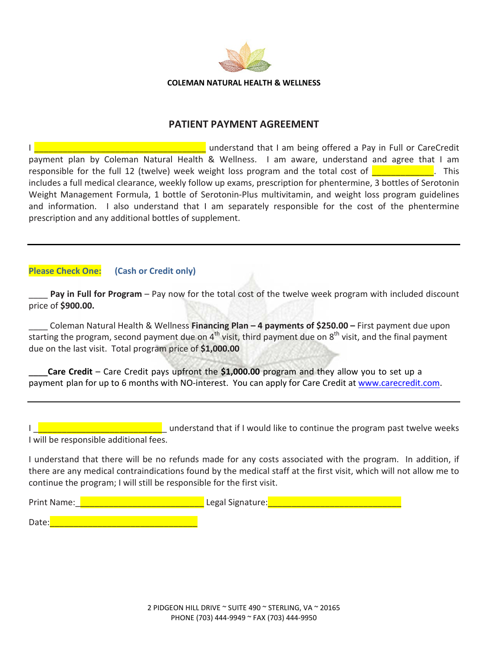

#### **PATIENT PAYMENT AGREEMENT**

I **Extending the University of the Universe and Section** understand that I am being offered a Pay in Full or CareCredit payment plan by Coleman Natural Health & Wellness. I am aware, understand and agree that I am responsible for the full 12 (twelve) week weight loss program and the total cost of **The Collection**. This includes a full medical clearance, weekly follow up exams, prescription for phentermine, 3 bottles of Serotonin Weight Management Formula, 1 bottle of Serotonin-Plus multivitamin, and weight loss program guidelines and information. I also understand that I am separately responsible for the cost of the phentermine prescription and any additional bottles of supplement.

#### **Please Check One: (Cash or Credit only)**

\_\_\_\_ **Pay in Full for Program** – Pay now for the total cost of the twelve week program with included discount price of **\$900.00.** 

\_\_\_\_ Coleman Natural Health & Wellness **Financing Plan – 4 payments of \$250.00 –** First payment due upon starting the program, second payment due on  $4^{th}$  visit, third payment due on  $8^{th}$  visit, and the final payment due on the last visit. Total program price of **\$1,000.00**

**Care Credit** – Care Credit pays upfront the \$1,000.00 program and they allow you to set up a payment plan for up to 6 months with NO-interest. You can apply for Care Credit at [www.carecre](http://www.carecredit.com/)dit.com.

|                                        | understand that if I would like to continue the program past twelve weeks |
|----------------------------------------|---------------------------------------------------------------------------|
| I will be responsible additional fees. |                                                                           |

I understand that there will be no refunds made for any costs associated with the program. In addition, if there are any medical contraindications found by the medical staff at the first visit, which will not allow me to continue the program; I will still be responsible for the first visit.

Print Name:\_\_\_\_\_\_\_\_\_\_\_\_\_\_\_\_\_\_\_\_\_\_\_\_\_\_\_ Legal Signature:\_\_\_\_\_\_\_\_\_\_\_\_\_\_\_\_\_\_\_\_\_\_\_\_\_\_\_\_ Date: